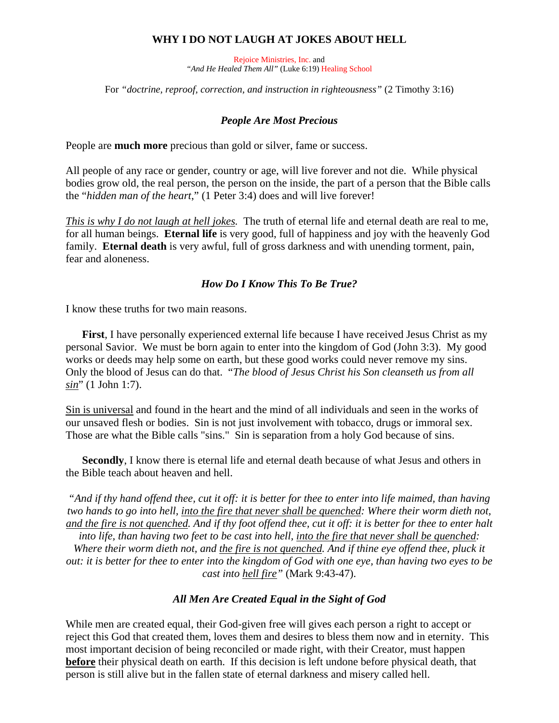### **WHY I DO NOT LAUGH AT JOKES ABOUT HELL**

Rejoice Ministries, Inc. and *"And He Healed Them All"* (Luke 6:19) Healing School

For *"doctrine, reproof, correction, and instruction in righteousness"* (2 Timothy 3:16)

#### *People Are Most Precious*

People are **much more** precious than gold or silver, fame or success.

All people of any race or gender, country or age, will live forever and not die. While physical bodies grow old, the real person, the person on the inside, the part of a person that the Bible calls the "*hidden man of the heart*," (1 Peter 3:4) does and will live forever!

*This is why I do not laugh at hell jokes.* The truth of eternal life and eternal death are real to me, for all human beings. **Eternal life** is very good, full of happiness and joy with the heavenly God family. **Eternal death** is very awful, full of gross darkness and with unending torment, pain, fear and aloneness.

#### *How Do I Know This To Be True?*

I know these truths for two main reasons.

**First**, I have personally experienced external life because I have received Jesus Christ as my personal Savior. We must be born again to enter into the kingdom of God (John 3:3). My good works or deeds may help some on earth, but these good works could never remove my sins. Only the blood of Jesus can do that. "*The blood of Jesus Christ his Son cleanseth us from all sin*" (1 John 1:7).

Sin is universal and found in the heart and the mind of all individuals and seen in the works of our unsaved flesh or bodies. Sin is not just involvement with tobacco, drugs or immoral sex. Those are what the Bible calls "sins." Sin is separation from a holy God because of sins.

**Secondly**, I know there is eternal life and eternal death because of what Jesus and others in the Bible teach about heaven and hell.

*"And if thy hand offend thee, cut it off: it is better for thee to enter into life maimed, than having two hands to go into hell, into the fire that never shall be quenched: Where their worm dieth not, and the fire is not quenched. And if thy foot offend thee, cut it off: it is better for thee to enter halt into life, than having two feet to be cast into hell, into the fire that never shall be quenched:* 

*Where their worm dieth not, and the fire is not quenched. And if thine eye offend thee, pluck it out: it is better for thee to enter into the kingdom of God with one eye, than having two eyes to be cast into hell fire"* (Mark 9:43-47).

#### *All Men Are Created Equal in the Sight of God*

While men are created equal, their God-given free will gives each person a right to accept or reject this God that created them, loves them and desires to bless them now and in eternity. This most important decision of being reconciled or made right, with their Creator, must happen **before** their physical death on earth. If this decision is left undone before physical death, that person is still alive but in the fallen state of eternal darkness and misery called hell.